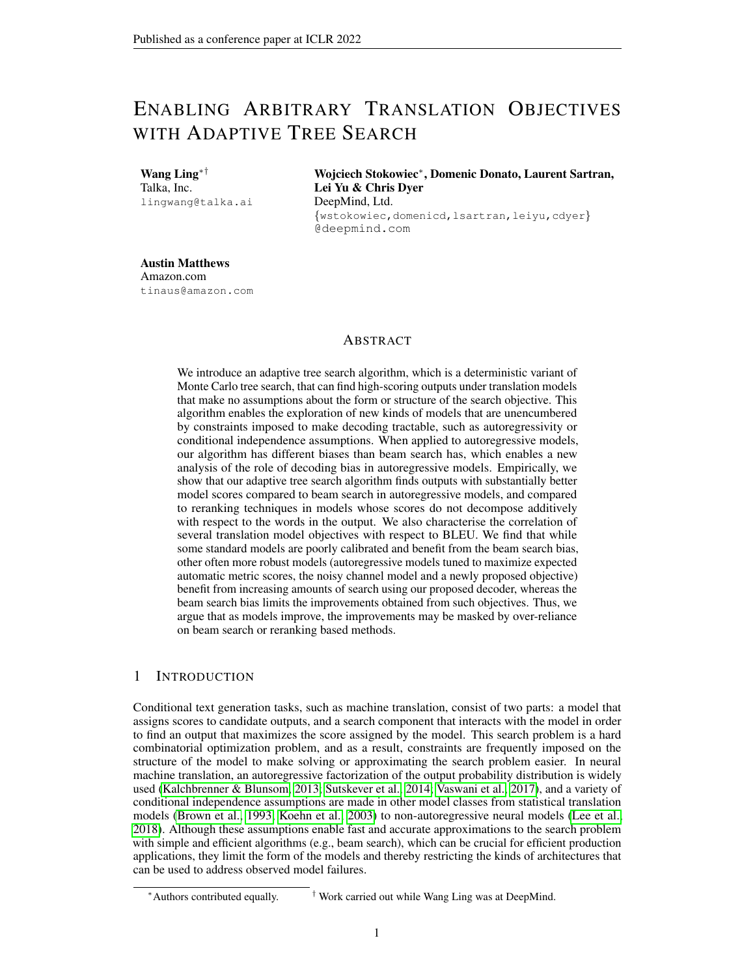# ENABLING ARBITRARY TRANSLATION OBJECTIVES WITH ADAPTIVE TREE SEARCH

Wang Ling∗† Talka, Inc. lingwang@talka.ai Wojciech Stokowiec<sup>∗</sup> , Domenic Donato, Laurent Sartran, Lei Yu & Chris Dyer DeepMind, Ltd. {wstokowiec,domenicd,lsartran,leiyu,cdyer} @deepmind.com

Austin Matthews Amazon.com tinaus@amazon.com

# ABSTRACT

We introduce an adaptive tree search algorithm, which is a deterministic variant of Monte Carlo tree search, that can find high-scoring outputs under translation models that make no assumptions about the form or structure of the search objective. This algorithm enables the exploration of new kinds of models that are unencumbered by constraints imposed to make decoding tractable, such as autoregressivity or conditional independence assumptions. When applied to autoregressive models, our algorithm has different biases than beam search has, which enables a new analysis of the role of decoding bias in autoregressive models. Empirically, we show that our adaptive tree search algorithm finds outputs with substantially better model scores compared to beam search in autoregressive models, and compared to reranking techniques in models whose scores do not decompose additively with respect to the words in the output. We also characterise the correlation of several translation model objectives with respect to BLEU. We find that while some standard models are poorly calibrated and benefit from the beam search bias, other often more robust models (autoregressive models tuned to maximize expected automatic metric scores, the noisy channel model and a newly proposed objective) benefit from increasing amounts of search using our proposed decoder, whereas the beam search bias limits the improvements obtained from such objectives. Thus, we argue that as models improve, the improvements may be masked by over-reliance on beam search or reranking based methods.

# 1 INTRODUCTION

Conditional text generation tasks, such as machine translation, consist of two parts: a model that assigns scores to candidate outputs, and a search component that interacts with the model in order to find an output that maximizes the score assigned by the model. This search problem is a hard combinatorial optimization problem, and as a result, constraints are frequently imposed on the structure of the model to make solving or approximating the search problem easier. In neural machine translation, an autoregressive factorization of the output probability distribution is widely used [\(Kalchbrenner & Blunsom, 2013;](#page-9-0) [Sutskever et al., 2014;](#page-11-0) [Vaswani et al., 2017\)](#page-11-1), and a variety of conditional independence assumptions are made in other model classes from statistical translation models [\(Brown et al., 1993;](#page-9-1) [Koehn et al., 2003\)](#page-10-0) to non-autoregressive neural models [\(Lee et al.,](#page-10-1) [2018\)](#page-10-1). Although these assumptions enable fast and accurate approximations to the search problem with simple and efficient algorithms (e.g., beam search), which can be crucial for efficient production applications, they limit the form of the models and thereby restricting the kinds of architectures that can be used to address observed model failures.

<sup>∗</sup>Authors contributed equally. † Work carried out while Wang Ling was at DeepMind.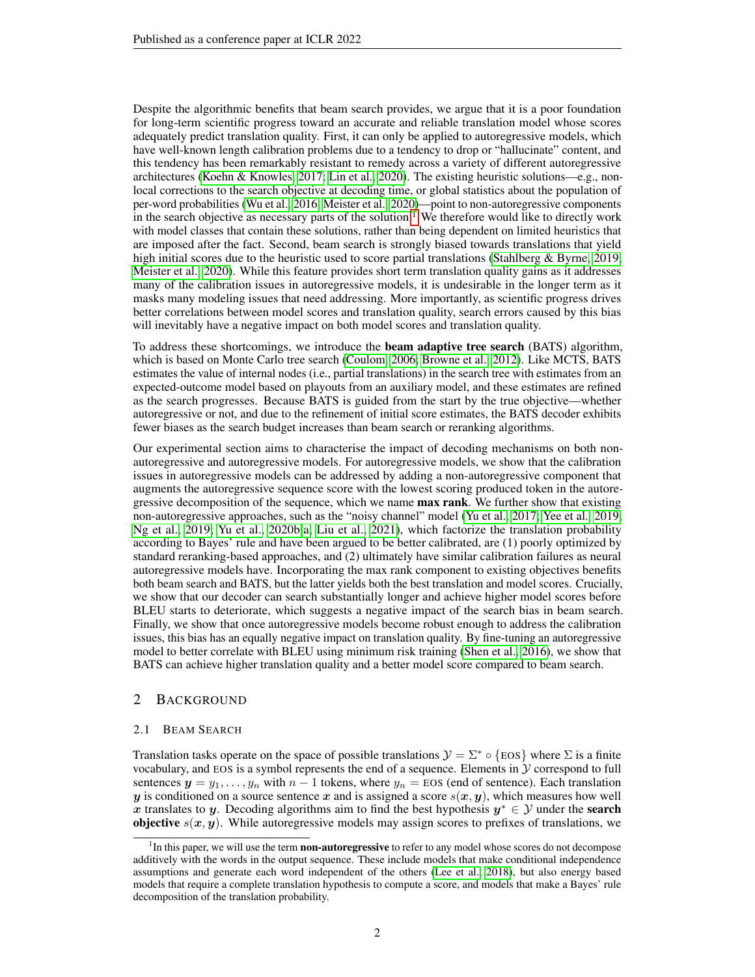Despite the algorithmic benefits that beam search provides, we argue that it is a poor foundation for long-term scientific progress toward an accurate and reliable translation model whose scores adequately predict translation quality. First, it can only be applied to autoregressive models, which have well-known length calibration problems due to a tendency to drop or "hallucinate" content, and this tendency has been remarkably resistant to remedy across a variety of different autoregressive architectures [\(Koehn & Knowles, 2017;](#page-10-2) [Lin et al., 2020\)](#page-10-3). The existing heuristic solutions—e.g., nonlocal corrections to the search objective at decoding time, or global statistics about the population of per-word probabilities [\(Wu et al., 2016;](#page-11-2) [Meister et al., 2020\)](#page-10-4)—point to non-autoregressive components in the search objective as necessary parts of the solution.<sup>[1](#page-1-0)</sup> We therefore would like to directly work with model classes that contain these solutions, rather than being dependent on limited heuristics that are imposed after the fact. Second, beam search is strongly biased towards translations that yield high initial scores due to the heuristic used to score partial translations [\(Stahlberg & Byrne, 2019;](#page-11-3) [Meister et al., 2020\)](#page-10-4). While this feature provides short term translation quality gains as it addresses many of the calibration issues in autoregressive models, it is undesirable in the longer term as it masks many modeling issues that need addressing. More importantly, as scientific progress drives better correlations between model scores and translation quality, search errors caused by this bias will inevitably have a negative impact on both model scores and translation quality.

To address these shortcomings, we introduce the beam adaptive tree search (BATS) algorithm, which is based on Monte Carlo tree search [\(Coulom, 2006;](#page-9-2) [Browne et al., 2012\)](#page-9-3). Like MCTS, BATS estimates the value of internal nodes (i.e., partial translations) in the search tree with estimates from an expected-outcome model based on playouts from an auxiliary model, and these estimates are refined as the search progresses. Because BATS is guided from the start by the true objective—whether autoregressive or not, and due to the refinement of initial score estimates, the BATS decoder exhibits fewer biases as the search budget increases than beam search or reranking algorithms.

Our experimental section aims to characterise the impact of decoding mechanisms on both nonautoregressive and autoregressive models. For autoregressive models, we show that the calibration issues in autoregressive models can be addressed by adding a non-autoregressive component that augments the autoregressive sequence score with the lowest scoring produced token in the autoregressive decomposition of the sequence, which we name **max rank**. We further show that existing non-autoregressive approaches, such as the "noisy channel" model [\(Yu et al., 2017;](#page-11-4) [Yee et al., 2019;](#page-11-5) [Ng et al., 2019;](#page-10-5) [Yu et al., 2020b](#page-12-0)[;a;](#page-11-6) [Liu et al., 2021\)](#page-10-6), which factorize the translation probability according to Bayes' rule and have been argued to be better calibrated, are (1) poorly optimized by standard reranking-based approaches, and (2) ultimately have similar calibration failures as neural autoregressive models have. Incorporating the max rank component to existing objectives benefits both beam search and BATS, but the latter yields both the best translation and model scores. Crucially, we show that our decoder can search substantially longer and achieve higher model scores before BLEU starts to deteriorate, which suggests a negative impact of the search bias in beam search. Finally, we show that once autoregressive models become robust enough to address the calibration issues, this bias has an equally negative impact on translation quality. By fine-tuning an autoregressive model to better correlate with BLEU using minimum risk training [\(Shen et al., 2016\)](#page-11-7), we show that BATS can achieve higher translation quality and a better model score compared to beam search.

# 2 BACKGROUND

#### 2.1 BEAM SEARCH

Translation tasks operate on the space of possible translations  $\mathcal{Y} = \Sigma^* \circ \{\text{EOS}\}$  where  $\Sigma$  is a finite vocabulary, and EOS is a symbol represents the end of a sequence. Elements in  $\mathcal Y$  correspond to full sentences  $y = y_1, \ldots, y_n$  with  $n-1$  tokens, where  $y_n =$  EOS (end of sentence). Each translation y is conditioned on a source sentence x and is assigned a score  $s(x, y)$ , which measures how well x translates to y. Decoding algorithms aim to find the best hypothesis  $y^* \in \mathcal{Y}$  under the search **objective**  $s(x, y)$ . While autoregressive models may assign scores to prefixes of translations, we

<span id="page-1-0"></span><sup>&</sup>lt;sup>1</sup>In this paper, we will use the term **non-autoregressive** to refer to any model whose scores do not decompose additively with the words in the output sequence. These include models that make conditional independence assumptions and generate each word independent of the others [\(Lee et al., 2018\)](#page-10-1), but also energy based models that require a complete translation hypothesis to compute a score, and models that make a Bayes' rule decomposition of the translation probability.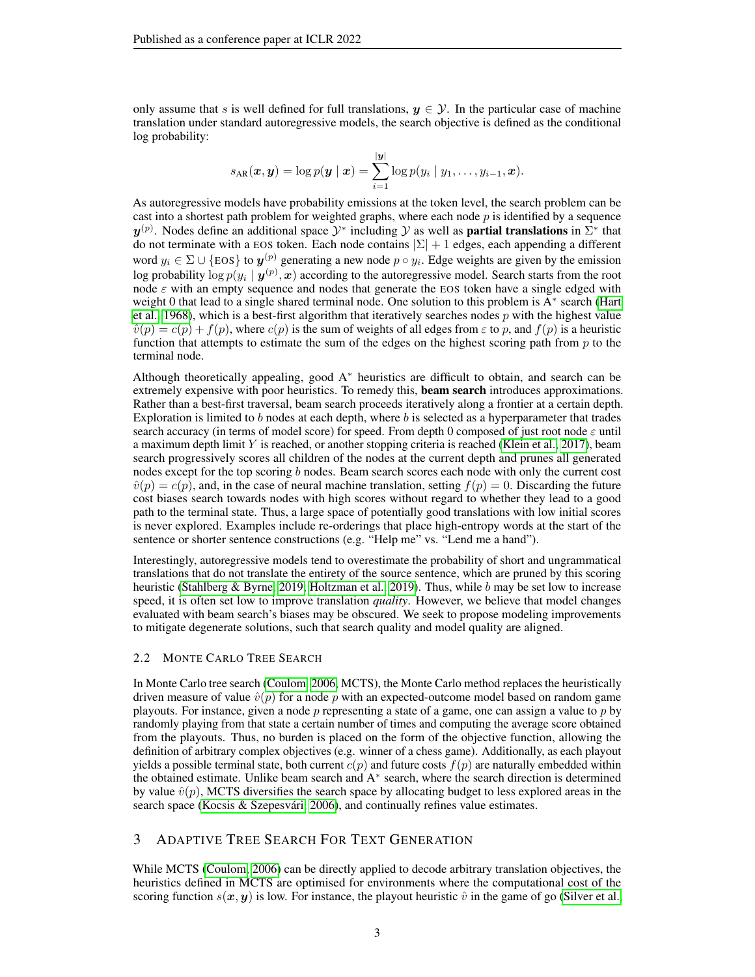only assume that s is well defined for full translations,  $y \in \mathcal{Y}$ . In the particular case of machine translation under standard autoregressive models, the search objective is defined as the conditional log probability:

$$
s_{\text{AR}}(\boldsymbol{x}, \boldsymbol{y}) = \log p(\boldsymbol{y} \mid \boldsymbol{x}) = \sum_{i=1}^{|\boldsymbol{y}|} \log p(y_i \mid y_1, \dots, y_{i-1}, \boldsymbol{x}).
$$

As autoregressive models have probability emissions at the token level, the search problem can be cast into a shortest path problem for weighted graphs, where each node  $p$  is identified by a sequence  $y^{(p)}$ . Nodes define an additional space  $\mathcal{Y}^*$  including  $\mathcal Y$  as well as **partial translations** in  $\Sigma^*$  that do not terminate with a EOS token. Each node contains  $|\Sigma| + 1$  edges, each appending a different word  $y_i \in \Sigma \cup \{\text{EOS}\}$  to  $\mathbf{y}^{(p)}$  generating a new node  $p \circ y_i$ . Edge weights are given by the emission log probability  $\log p(y_i \mid \bm{y}^{(p)}, \bm{x})$  according to the autoregressive model. Search starts from the root node  $\varepsilon$  with an empty sequence and nodes that generate the EOS token have a single edged with weight 0 that lead to a single shared terminal node. One solution to this problem is A<sup>∗</sup> search [\(Hart](#page-9-4) [et al., 1968\)](#page-9-4), which is a best-first algorithm that iteratively searches nodes  $p$  with the highest value  $\hat{v}(p) = c(p) + f(p)$ , where  $c(p)$  is the sum of weights of all edges from  $\varepsilon$  to p, and  $f(p)$  is a heuristic function that attempts to estimate the sum of the edges on the highest scoring path from  $p$  to the terminal node.

Although theoretically appealing, good  $A<sup>*</sup>$  heuristics are difficult to obtain, and search can be extremely expensive with poor heuristics. To remedy this, **beam search** introduces approximations. Rather than a best-first traversal, beam search proceeds iteratively along a frontier at a certain depth. Exploration is limited to  $b$  nodes at each depth, where  $b$  is selected as a hyperparameter that trades search accuracy (in terms of model score) for speed. From depth 0 composed of just root node  $\varepsilon$  until a maximum depth limit Y is reached, or another stopping criteria is reached [\(Klein et al., 2017\)](#page-10-7), beam search progressively scores all children of the nodes at the current depth and prunes all generated nodes except for the top scoring  $b$  nodes. Beam search scores each node with only the current cost  $\hat{v}(p) = c(p)$ , and, in the case of neural machine translation, setting  $f(p) = 0$ . Discarding the future cost biases search towards nodes with high scores without regard to whether they lead to a good path to the terminal state. Thus, a large space of potentially good translations with low initial scores is never explored. Examples include re-orderings that place high-entropy words at the start of the sentence or shorter sentence constructions (e.g. "Help me" vs. "Lend me a hand").

Interestingly, autoregressive models tend to overestimate the probability of short and ungrammatical translations that do not translate the entirety of the source sentence, which are pruned by this scoring heuristic [\(Stahlberg & Byrne, 2019;](#page-11-3) [Holtzman et al., 2019\)](#page-9-5). Thus, while b may be set low to increase speed, it is often set low to improve translation *quality*. However, we believe that model changes evaluated with beam search's biases may be obscured. We seek to propose modeling improvements to mitigate degenerate solutions, such that search quality and model quality are aligned.

### 2.2 MONTE CARLO TREE SEARCH

In Monte Carlo tree search [\(Coulom, 2006,](#page-9-2) MCTS), the Monte Carlo method replaces the heuristically driven measure of value  $\hat{v}(p)$  for a node p with an expected-outcome model based on random game playouts. For instance, given a node  $p$  representing a state of a game, one can assign a value to  $p$  by randomly playing from that state a certain number of times and computing the average score obtained from the playouts. Thus, no burden is placed on the form of the objective function, allowing the definition of arbitrary complex objectives (e.g. winner of a chess game). Additionally, as each playout yields a possible terminal state, both current  $c(p)$  and future costs  $f(p)$  are naturally embedded within the obtained estimate. Unlike beam search and A<sup>∗</sup> search, where the search direction is determined by value  $\hat{v}(p)$ , MCTS diversifies the search space by allocating budget to less explored areas in the search space (Kocsis & Szepesvári, 2006), and continually refines value estimates.

# 3 ADAPTIVE TREE SEARCH FOR TEXT GENERATION

While MCTS [\(Coulom, 2006\)](#page-9-2) can be directly applied to decode arbitrary translation objectives, the heuristics defined in MCTS are optimised for environments where the computational cost of the scoring function  $s(x, y)$  is low. For instance, the playout heuristic  $\hat{v}$  in the game of go [\(Silver et al.,](#page-11-8)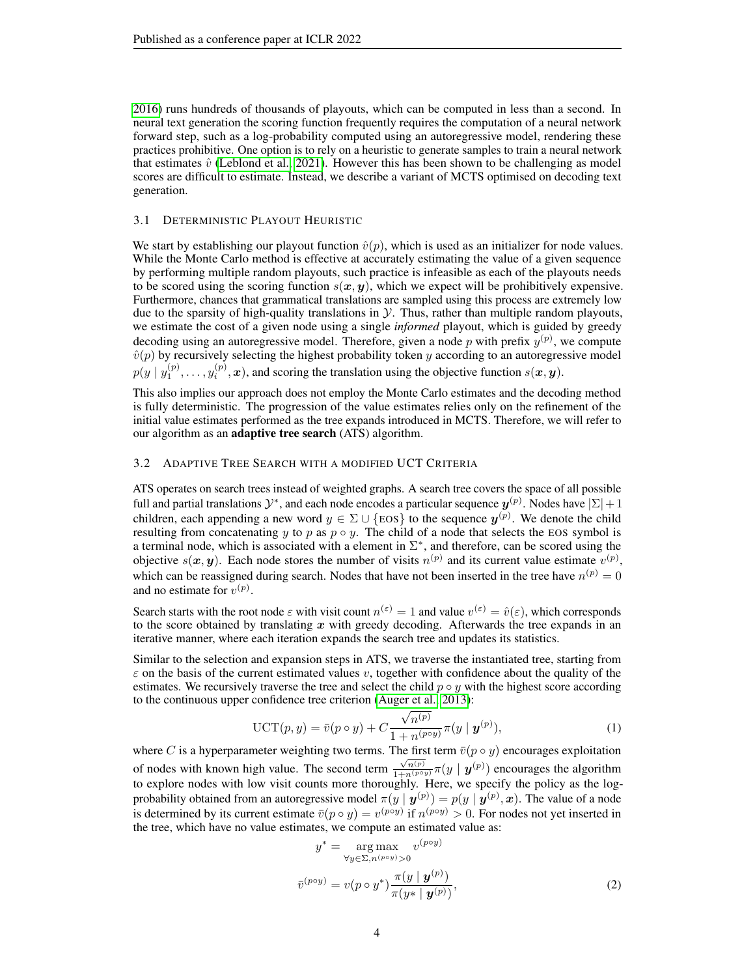[2016\)](#page-11-8) runs hundreds of thousands of playouts, which can be computed in less than a second. In neural text generation the scoring function frequently requires the computation of a neural network forward step, such as a log-probability computed using an autoregressive model, rendering these practices prohibitive. One option is to rely on a heuristic to generate samples to train a neural network that estimates  $\hat{v}$  [\(Leblond et al., 2021\)](#page-10-9). However this has been shown to be challenging as model scores are difficult to estimate. Instead, we describe a variant of MCTS optimised on decoding text generation.

#### 3.1 DETERMINISTIC PLAYOUT HEURISTIC

We start by establishing our playout function  $\hat{v}(p)$ , which is used as an initializer for node values. While the Monte Carlo method is effective at accurately estimating the value of a given sequence by performing multiple random playouts, such practice is infeasible as each of the playouts needs to be scored using the scoring function  $s(x, y)$ , which we expect will be prohibitively expensive. Furthermore, chances that grammatical translations are sampled using this process are extremely low due to the sparsity of high-quality translations in  $\mathcal Y$ . Thus, rather than multiple random playouts, we estimate the cost of a given node using a single *informed* playout, which is guided by greedy decoding using an autoregressive model. Therefore, given a node p with prefix  $y^{(p)}$ , we compute  $\hat{v}(p)$  by recursively selecting the highest probability token y according to an autoregressive model  $p(y | y_1^{(p)}, \ldots, y_i^{(p)}, \boldsymbol{x})$ , and scoring the translation using the objective function  $s(\boldsymbol{x}, \boldsymbol{y})$ .

This also implies our approach does not employ the Monte Carlo estimates and the decoding method is fully deterministic. The progression of the value estimates relies only on the refinement of the initial value estimates performed as the tree expands introduced in MCTS. Therefore, we will refer to our algorithm as an adaptive tree search (ATS) algorithm.

## 3.2 ADAPTIVE TREE SEARCH WITH A MODIFIED UCT CRITERIA

ATS operates on search trees instead of weighted graphs. A search tree covers the space of all possible full and partial translations  $\mathcal{Y}^*$ , and each node encodes a particular sequence  $\bm{y}^{(p)}$ . Nodes have  $|\Sigma|+1$ children, each appending a new word  $y \in \Sigma \cup \{\text{EOS}\}$  to the sequence  $y^{(p)}$ . We denote the child resulting from concatenating y to p as  $p \circ y$ . The child of a node that selects the EOS symbol is a terminal node, which is associated with a element in  $\Sigma^*$ , and therefore, can be scored using the objective  $s(x, y)$ . Each node stores the number of visits  $n^{(p)}$  and its current value estimate  $v^{(p)}$ , which can be reassigned during search. Nodes that have not been inserted in the tree have  $n^{(p)} = 0$ and no estimate for  $v^{(p)}$ .

Search starts with the root node  $\varepsilon$  with visit count  $n^{(\varepsilon)} = 1$  and value  $v^{(\varepsilon)} = \hat{v}(\varepsilon)$ , which corresponds to the score obtained by translating  $x$  with greedy decoding. Afterwards the tree expands in an iterative manner, where each iteration expands the search tree and updates its statistics.

Similar to the selection and expansion steps in ATS, we traverse the instantiated tree, starting from  $\varepsilon$  on the basis of the current estimated values v, together with confidence about the quality of the estimates. We recursively traverse the tree and select the child  $p \circ y$  with the highest score according to the continuous upper confidence tree criterion [\(Auger et al., 2013\)](#page-9-6):

$$
\text{UCT}(p, y) = \bar{v}(p \circ y) + C \frac{\sqrt{n^{(p)}}}{1 + n^{(p \circ y)}} \pi(y \mid \boldsymbol{y}^{(p)}),\tag{1}
$$

where C is a hyperparameter weighting two terms. The first term  $\bar{v}(p \circ y)$  encourages exploitation of nodes with known high value. The second term  $\frac{\sqrt{n^{(p)}}}{1+n^{(p\circ y)}}\pi(y \mid \boldsymbol{y}^{(p)})$  encourages the algorithm to explore nodes with low visit counts more thoroughly. Here, we specify the policy as the logprobability obtained from an autoregressive model  $\pi(y | y^{(p)}) = p(y | y^{(p)}, x)$ . The value of a node is determined by its current estimate  $\bar{v}(p \circ y) = v^{(p \circ y)}$  if  $n^{(p \circ y)} > 0$ . For nodes not yet inserted in the tree, which have no value estimates, we compute an estimated value as:

<span id="page-3-0"></span>
$$
y^* = \underset{\forall y \in \Sigma, n^{(p \circ y)} > 0}{\arg \max} v^{(p \circ y)}
$$
\n
$$
\bar{v}^{(p \circ y)} = v(p \circ y^*) \frac{\pi(y \mid \mathbf{y}^{(p)})}{\pi(y^* \mid \mathbf{y}^{(p)})},\tag{2}
$$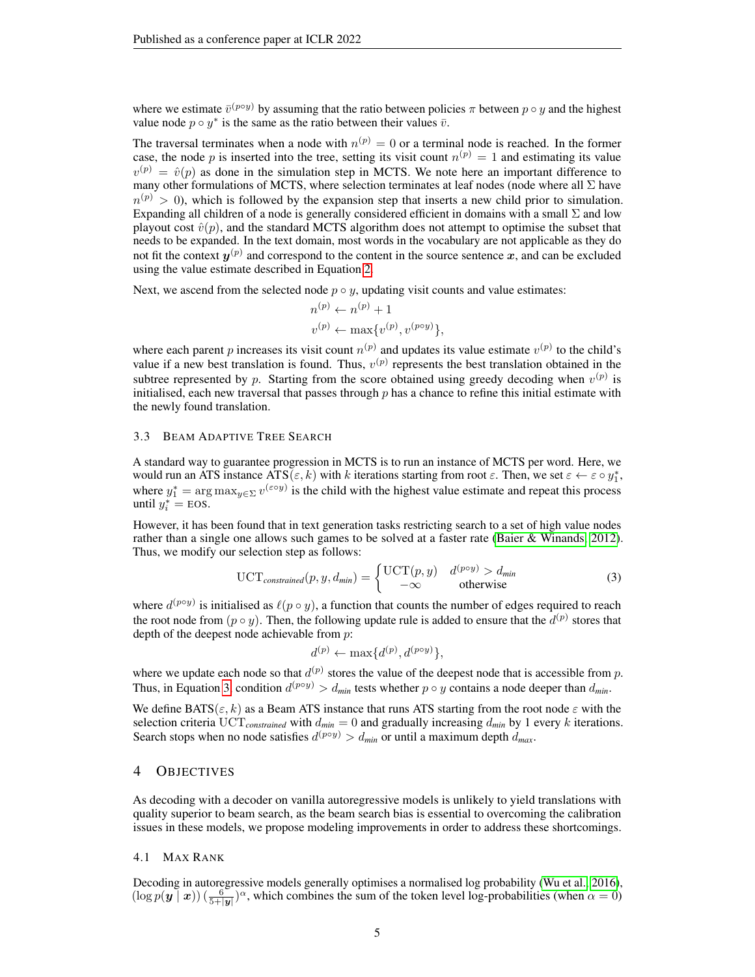where we estimate  $\bar{v}^{(p \circ y)}$  by assuming that the ratio between policies  $\pi$  between  $p \circ y$  and the highest value node  $p \circ y^*$  is the same as the ratio between their values  $\bar{v}$ .

The traversal terminates when a node with  $n^{(p)} = 0$  or a terminal node is reached. In the former case, the node p is inserted into the tree, setting its visit count  $n^{(p)} = 1$  and estimating its value  $v^{(p)} = \hat{v}(p)$  as done in the simulation step in MCTS. We note here an important difference to many other formulations of MCTS, where selection terminates at leaf nodes (node where all  $\Sigma$  have  $n^{(p)} > 0$ ), which is followed by the expansion step that inserts a new child prior to simulation. Expanding all children of a node is generally considered efficient in domains with a small  $\Sigma$  and low playout cost  $\hat{v}(p)$ , and the standard MCTS algorithm does not attempt to optimise the subset that needs to be expanded. In the text domain, most words in the vocabulary are not applicable as they do not fit the context  $y^{(p)}$  and correspond to the content in the source sentence  $x$ , and can be excluded using the value estimate described in Equation [2.](#page-3-0)

Next, we ascend from the selected node  $p \circ y$ , updating visit counts and value estimates:

$$
n^{(p)} \leftarrow n^{(p)} + 1
$$
  

$$
v^{(p)} \leftarrow \max\{v^{(p)}, v^{(p \circ y)}\},
$$

where each parent p increases its visit count  $n^{(p)}$  and updates its value estimate  $v^{(p)}$  to the child's value if a new best translation is found. Thus,  $v^{(p)}$  represents the best translation obtained in the subtree represented by p. Starting from the score obtained using greedy decoding when  $v^{(p)}$  is initialised, each new traversal that passes through  $p$  has a chance to refine this initial estimate with the newly found translation.

#### 3.3 BEAM ADAPTIVE TREE SEARCH

A standard way to guarantee progression in MCTS is to run an instance of MCTS per word. Here, we would run an ATS instance  $\widehat{ATS}(\varepsilon, k)$  with k iterations starting from root  $\varepsilon$ . Then, we set  $\varepsilon \leftarrow \varepsilon \circ y_1^*$ , where  $y_1^* = \arg \max_{y \in \Sigma} v^{(\varepsilon \circ y)}$  is the child with the highest value estimate and repeat this process until  $y_i^* = \text{EOS}.$ 

However, it has been found that in text generation tasks restricting search to a set of high value nodes rather than a single one allows such games to be solved at a faster rate [\(Baier & Winands, 2012\)](#page-9-7). Thus, we modify our selection step as follows:

$$
\text{UCT}_{constrained}(p, y, d_{min}) = \begin{cases} \text{UCT}(p, y) & d^{(p \circ y)} > d_{min} \\ -\infty & \text{otherwise} \end{cases}
$$
(3)

where  $d^{(p \circ y)}$  is initialised as  $\ell(p \circ y)$ , a function that counts the number of edges required to reach the root node from  $(p \circ y)$ . Then, the following update rule is added to ensure that the  $d^{(p)}$  stores that depth of the deepest node achievable from p:

<span id="page-4-0"></span>
$$
d^{(p)} \leftarrow \max\{d^{(p)}, d^{(p \circ y)}\},
$$

where we update each node so that  $d^{(p)}$  stores the value of the deepest node that is accessible from p. Thus, in Equation [3,](#page-4-0) condition  $d^{(p \circ y)} > d_{min}$  tests whether  $p \circ y$  contains a node deeper than  $d_{min}$ .

We define BATS( $\varepsilon$ , k) as a Beam ATS instance that runs ATS starting from the root node  $\varepsilon$  with the selection criteria  $\text{UCT}_{constrained}$  with  $d_{min} = 0$  and gradually increasing  $d_{min}$  by 1 every k iterations. Search stops when no node satisfies  $d^{(p \circ y)} > d_{min}$  or until a maximum depth  $d_{max}$ .

## 4 OBJECTIVES

As decoding with a decoder on vanilla autoregressive models is unlikely to yield translations with quality superior to beam search, as the beam search bias is essential to overcoming the calibration issues in these models, we propose modeling improvements in order to address these shortcomings.

#### 4.1 MAX RANK

Decoding in autoregressive models generally optimises a normalised log probability [\(Wu et al., 2016\)](#page-11-2),  $(\log p(\mathbf{y} \mid \mathbf{x}))$   $(\frac{6}{5+|\mathbf{y}|})^{\alpha}$ , which combines the sum of the token level log-probabilities (when  $\alpha = 0$ )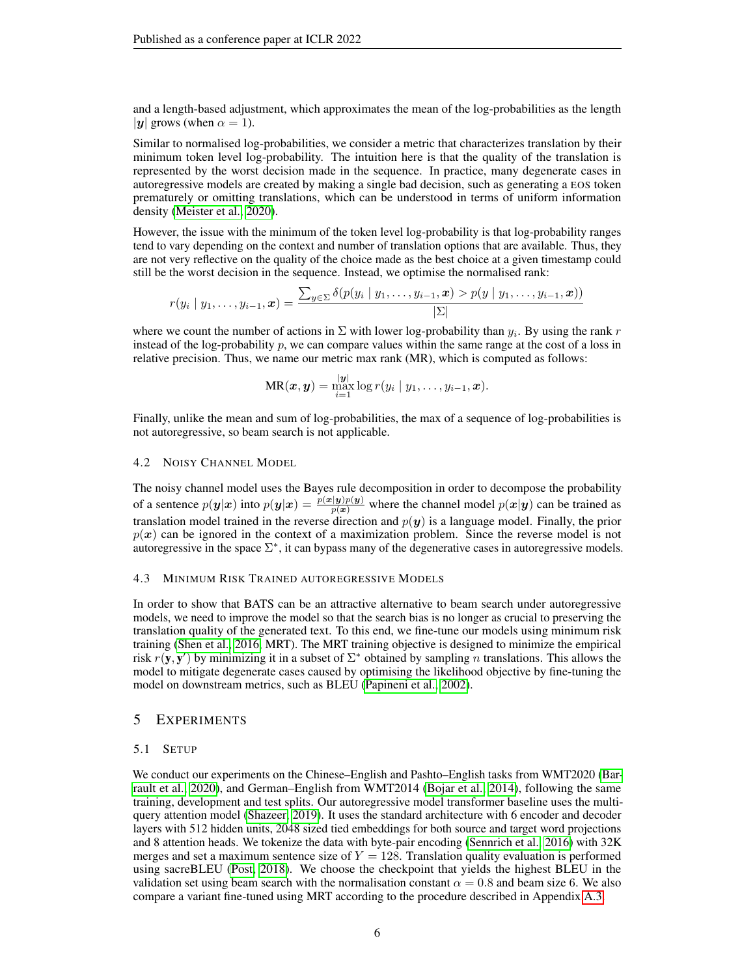and a length-based adjustment, which approximates the mean of the log-probabilities as the length |y| grows (when  $\alpha = 1$ ).

Similar to normalised log-probabilities, we consider a metric that characterizes translation by their minimum token level log-probability. The intuition here is that the quality of the translation is represented by the worst decision made in the sequence. In practice, many degenerate cases in autoregressive models are created by making a single bad decision, such as generating a EOS token prematurely or omitting translations, which can be understood in terms of uniform information density [\(Meister et al., 2020\)](#page-10-4).

However, the issue with the minimum of the token level log-probability is that log-probability ranges tend to vary depending on the context and number of translation options that are available. Thus, they are not very reflective on the quality of the choice made as the best choice at a given timestamp could still be the worst decision in the sequence. Instead, we optimise the normalised rank:

$$
r(y_i \mid y_1, \ldots, y_{i-1}, \boldsymbol{x}) = \frac{\sum_{y \in \Sigma} \delta(p(y_i \mid y_1, \ldots, y_{i-1}, \boldsymbol{x}) > p(y \mid y_1, \ldots, y_{i-1}, \boldsymbol{x}))}{|\Sigma|}
$$

where we count the number of actions in  $\Sigma$  with lower log-probability than  $y_i$ . By using the rank r instead of the log-probability  $p$ , we can compare values within the same range at the cost of a loss in relative precision. Thus, we name our metric max rank (MR), which is computed as follows:

$$
MR(\boldsymbol{x}, \boldsymbol{y}) = \max_{i=1}^{|\boldsymbol{y}|} \log r(y_i \mid y_1, \ldots, y_{i-1}, \boldsymbol{x}).
$$

Finally, unlike the mean and sum of log-probabilities, the max of a sequence of log-probabilities is not autoregressive, so beam search is not applicable.

#### 4.2 NOISY CHANNEL MODEL

The noisy channel model uses the Bayes rule decomposition in order to decompose the probability of a sentence  $p(y|x)$  into  $p(y|x) = \frac{p(x|y)p(y)}{p(x)}$  where the channel model  $p(x|y)$  can be trained as translation model trained in the reverse direction and  $p(y)$  is a language model. Finally, the prior  $p(x)$  can be ignored in the context of a maximization problem. Since the reverse model is not autoregressive in the space  $\Sigma^*$ , it can bypass many of the degenerative cases in autoregressive models.

#### 4.3 MINIMUM RISK TRAINED AUTOREGRESSIVE MODELS

In order to show that BATS can be an attractive alternative to beam search under autoregressive models, we need to improve the model so that the search bias is no longer as crucial to preserving the translation quality of the generated text. To this end, we fine-tune our models using minimum risk training [\(Shen et al., 2016,](#page-11-7) MRT). The MRT training objective is designed to minimize the empirical risk  $r(\mathbf{y}, \mathbf{y}')$  by minimizing it in a subset of  $\Sigma^*$  obtained by sampling n translations. This allows the model to mitigate degenerate cases caused by optimising the likelihood objective by fine-tuning the model on downstream metrics, such as BLEU [\(Papineni et al., 2002\)](#page-10-10).

### 5 EXPERIMENTS

#### 5.1 SETUP

We conduct our experiments on the Chinese–English and Pashto–English tasks from WMT2020 [\(Bar](#page-9-8)[rault et al., 2020\)](#page-9-8), and German–English from WMT2014 [\(Bojar et al., 2014\)](#page-9-9), following the same training, development and test splits. Our autoregressive model transformer baseline uses the multiquery attention model [\(Shazeer, 2019\)](#page-11-9). It uses the standard architecture with 6 encoder and decoder layers with 512 hidden units, 2048 sized tied embeddings for both source and target word projections and 8 attention heads. We tokenize the data with byte-pair encoding [\(Sennrich et al., 2016\)](#page-11-10) with 32K merges and set a maximum sentence size of  $Y = 128$ . Translation quality evaluation is performed using sacreBLEU [\(Post, 2018\)](#page-11-11). We choose the checkpoint that yields the highest BLEU in the validation set using beam search with the normalisation constant  $\alpha = 0.8$  and beam size 6. We also compare a variant fine-tuned using MRT according to the procedure described in Appendix [A.3.](#page-13-0)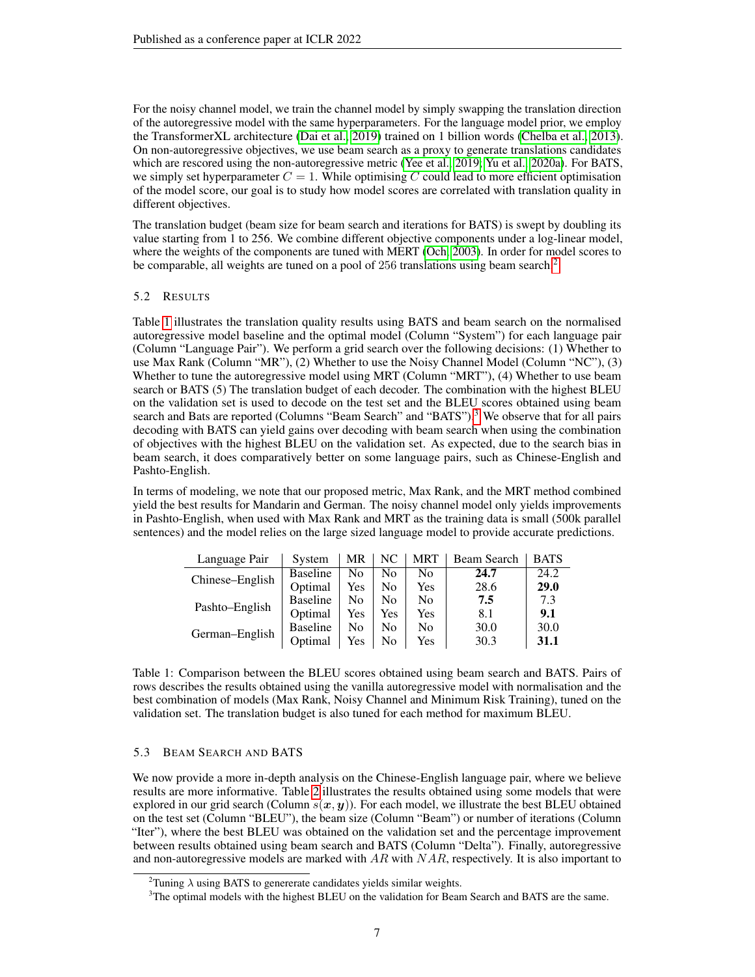For the noisy channel model, we train the channel model by simply swapping the translation direction of the autoregressive model with the same hyperparameters. For the language model prior, we employ the TransformerXL architecture [\(Dai et al., 2019\)](#page-9-10) trained on 1 billion words [\(Chelba et al., 2013\)](#page-9-11). On non-autoregressive objectives, we use beam search as a proxy to generate translations candidates which are rescored using the non-autoregressive metric [\(Yee et al., 2019;](#page-11-5) [Yu et al., 2020a\)](#page-11-6). For BATS, we simply set hyperparameter  $C = 1$ . While optimising C could lead to more efficient optimisation of the model score, our goal is to study how model scores are correlated with translation quality in different objectives.

The translation budget (beam size for beam search and iterations for BATS) is swept by doubling its value starting from 1 to 256. We combine different objective components under a log-linear model, where the weights of the components are tuned with MERT [\(Och, 2003\)](#page-10-11). In order for model scores to be comparable, all weights are tuned on a pool of [2](#page-6-0)56 translations using beam search.<sup>2</sup>

# 5.2 RESULTS

Table [1](#page-6-1) illustrates the translation quality results using BATS and beam search on the normalised autoregressive model baseline and the optimal model (Column "System") for each language pair (Column "Language Pair"). We perform a grid search over the following decisions: (1) Whether to use Max Rank (Column "MR"), (2) Whether to use the Noisy Channel Model (Column "NC"), (3) Whether to tune the autoregressive model using MRT (Column "MRT"), (4) Whether to use beam search or BATS (5) The translation budget of each decoder. The combination with the highest BLEU on the validation set is used to decode on the test set and the BLEU scores obtained using beam search and Bats are reported (Columns "Beam Search" and "BATS").<sup>[3](#page-6-2)</sup> We observe that for all pairs decoding with BATS can yield gains over decoding with beam search when using the combination of objectives with the highest BLEU on the validation set. As expected, due to the search bias in beam search, it does comparatively better on some language pairs, such as Chinese-English and Pashto-English.

In terms of modeling, we note that our proposed metric, Max Rank, and the MRT method combined yield the best results for Mandarin and German. The noisy channel model only yields improvements in Pashto-English, when used with Max Rank and MRT as the training data is small (500k parallel sentences) and the model relies on the large sized language model to provide accurate predictions.

| Language Pair   | System          | MR  | NC             | MRT            | Beam Search | <b>BATS</b> |
|-----------------|-----------------|-----|----------------|----------------|-------------|-------------|
| Chinese–English | <b>Baseline</b> | No  | No             | No             | 24.7        | 24.2        |
|                 | Optimal         | Yes | N <sub>0</sub> | Yes            | 28.6        | 29.0        |
| Pashto-English  | <b>Baseline</b> | No  | No             | N <sub>0</sub> | 7.5         | 7.3         |
|                 | Optimal         | Yes | Yes            | Yes            | 8.1         | 9.1         |
| German-English  | <b>Baseline</b> | No  | No             | N <sub>0</sub> | 30.0        | 30.0        |
|                 | Optimal         | Yes | No             | Yes            | 30.3        | 31.1        |

<span id="page-6-1"></span>Table 1: Comparison between the BLEU scores obtained using beam search and BATS. Pairs of rows describes the results obtained using the vanilla autoregressive model with normalisation and the best combination of models (Max Rank, Noisy Channel and Minimum Risk Training), tuned on the validation set. The translation budget is also tuned for each method for maximum BLEU.

# 5.3 BEAM SEARCH AND BATS

We now provide a more in-depth analysis on the Chinese-English language pair, where we believe results are more informative. Table [2](#page-8-0) illustrates the results obtained using some models that were explored in our grid search (Column  $s(x, y)$ ). For each model, we illustrate the best BLEU obtained on the test set (Column "BLEU"), the beam size (Column "Beam") or number of iterations (Column "Iter"), where the best BLEU was obtained on the validation set and the percentage improvement between results obtained using beam search and BATS (Column "Delta"). Finally, autoregressive and non-autoregressive models are marked with  $AR$  with  $NAR$ , respectively. It is also important to

<span id="page-6-0"></span><sup>&</sup>lt;sup>2</sup>Tuning  $\lambda$  using BATS to genererate candidates yields similar weights.

<span id="page-6-2"></span><sup>&</sup>lt;sup>3</sup>The optimal models with the highest BLEU on the validation for Beam Search and BATS are the same.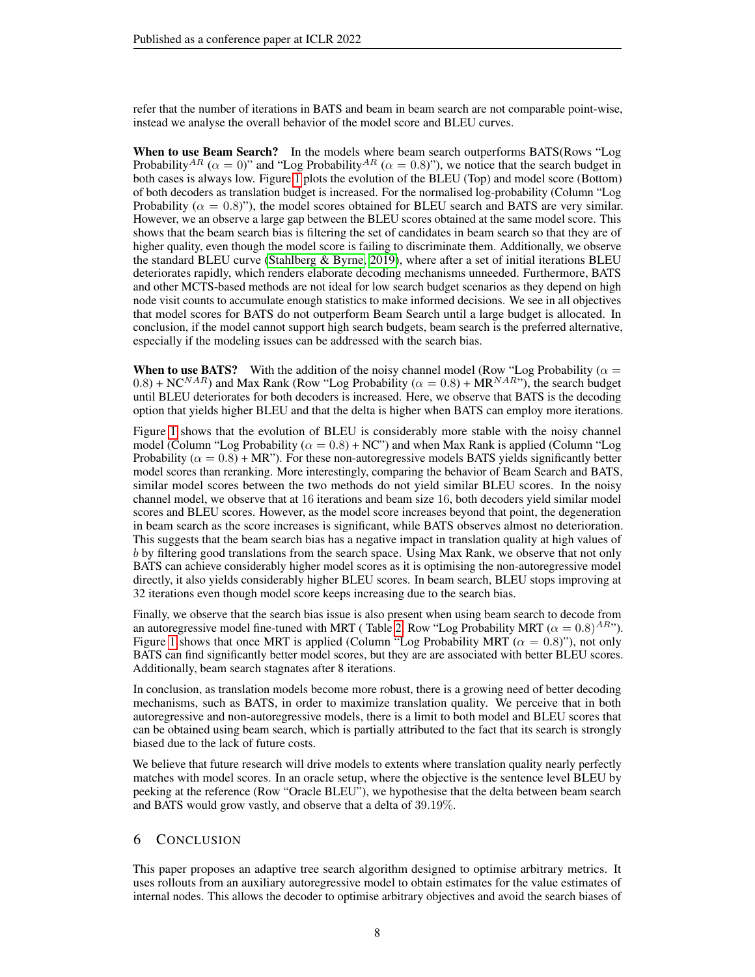refer that the number of iterations in BATS and beam in beam search are not comparable point-wise, instead we analyse the overall behavior of the model score and BLEU curves.

When to use Beam Search? In the models where beam search outperforms BATS(Rows "Log Probability<sup>AR</sup> ( $\alpha = 0$ )" and "Log Probability<sup>AR</sup> ( $\alpha = 0.8$ )"), we notice that the search budget in both cases is always low. Figure [1](#page-8-1) plots the evolution of the BLEU (Top) and model score (Bottom) of both decoders as translation budget is increased. For the normalised log-probability (Column "Log Probability ( $\alpha = 0.8$ )"), the model scores obtained for BLEU search and BATS are very similar. However, we an observe a large gap between the BLEU scores obtained at the same model score. This shows that the beam search bias is filtering the set of candidates in beam search so that they are of higher quality, even though the model score is failing to discriminate them. Additionally, we observe the standard BLEU curve (Stahlberg  $\&$  Byrne, 2019), where after a set of initial iterations BLEU deteriorates rapidly, which renders elaborate decoding mechanisms unneeded. Furthermore, BATS and other MCTS-based methods are not ideal for low search budget scenarios as they depend on high node visit counts to accumulate enough statistics to make informed decisions. We see in all objectives that model scores for BATS do not outperform Beam Search until a large budget is allocated. In conclusion, if the model cannot support high search budgets, beam search is the preferred alternative, especially if the modeling issues can be addressed with the search bias.

**When to use BATS?** With the addition of the noisy channel model (Row "Log Probability ( $\alpha$  =  $(0.8)$  + NC<sup>NAR</sup>) and Max Rank (Row "Log Probability ( $\alpha = 0.8$ ) + MR<sup>NAR</sup>"), the search budget until BLEU deteriorates for both decoders is increased. Here, we observe that BATS is the decoding option that yields higher BLEU and that the delta is higher when BATS can employ more iterations.

Figure [1](#page-8-1) shows that the evolution of BLEU is considerably more stable with the noisy channel model (Column "Log Probability ( $\alpha = 0.8$ ) + NC") and when Max Rank is applied (Column "Log Probability ( $\alpha = 0.8$ ) + MR"). For these non-autoregressive models BATS yields significantly better model scores than reranking. More interestingly, comparing the behavior of Beam Search and BATS, similar model scores between the two methods do not yield similar BLEU scores. In the noisy channel model, we observe that at 16 iterations and beam size 16, both decoders yield similar model scores and BLEU scores. However, as the model score increases beyond that point, the degeneration in beam search as the score increases is significant, while BATS observes almost no deterioration. This suggests that the beam search bias has a negative impact in translation quality at high values of b by filtering good translations from the search space. Using Max Rank, we observe that not only BATS can achieve considerably higher model scores as it is optimising the non-autoregressive model directly, it also yields considerably higher BLEU scores. In beam search, BLEU stops improving at 32 iterations even though model score keeps increasing due to the search bias.

Finally, we observe that the search bias issue is also present when using beam search to decode from an autoregressive model fine-tuned with MRT ( Table [2,](#page-8-0) Row "Log Probability MRT ( $\alpha = 0.8$ )<sup>AR</sup>"). Figure [1](#page-8-1) shows that once MRT is applied (Column "Log Probability MRT ( $\alpha = 0.8$ )"), not only BATS can find significantly better model scores, but they are are associated with better BLEU scores. Additionally, beam search stagnates after 8 iterations.

In conclusion, as translation models become more robust, there is a growing need of better decoding mechanisms, such as BATS, in order to maximize translation quality. We perceive that in both autoregressive and non-autoregressive models, there is a limit to both model and BLEU scores that can be obtained using beam search, which is partially attributed to the fact that its search is strongly biased due to the lack of future costs.

We believe that future research will drive models to extents where translation quality nearly perfectly matches with model scores. In an oracle setup, where the objective is the sentence level BLEU by peeking at the reference (Row "Oracle BLEU"), we hypothesise that the delta between beam search and BATS would grow vastly, and observe that a delta of 39.19%.

# 6 CONCLUSION

This paper proposes an adaptive tree search algorithm designed to optimise arbitrary metrics. It uses rollouts from an auxiliary autoregressive model to obtain estimates for the value estimates of internal nodes. This allows the decoder to optimise arbitrary objectives and avoid the search biases of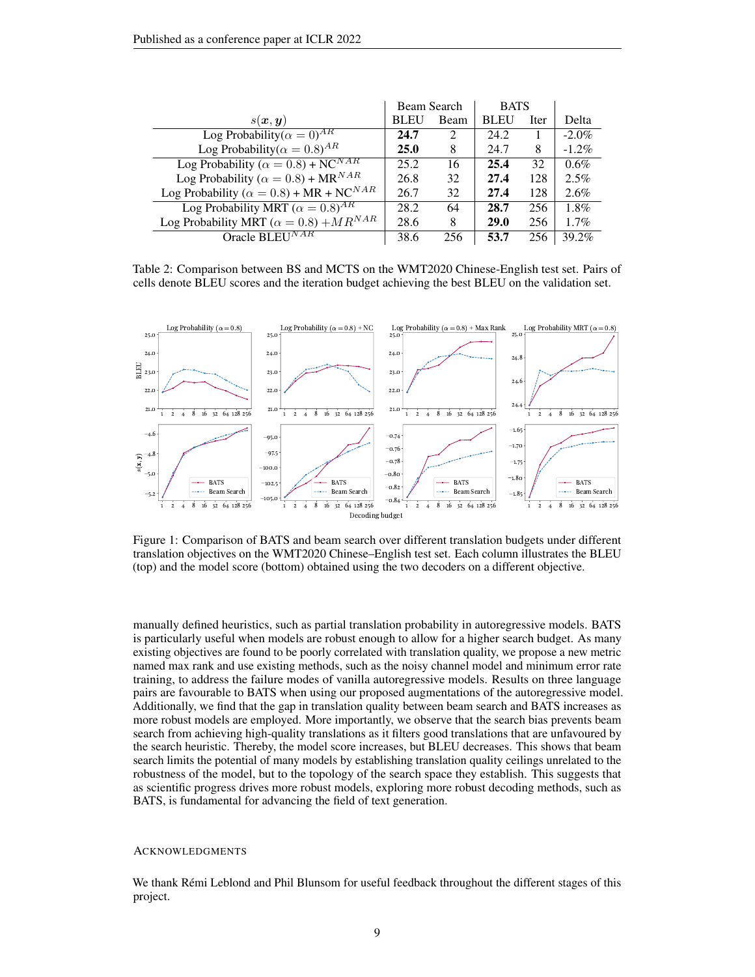|                                                             | Beam Search |                             | <b>BATS</b> |      |          |
|-------------------------------------------------------------|-------------|-----------------------------|-------------|------|----------|
| $s(\bm{x}, \bm{y})$                                         | <b>BLEU</b> | Beam                        | <b>BLEU</b> | Iter | Delta    |
| Log Probability( $\alpha = 0$ ) <sup>AR</sup>               | 24.7        | $\mathcal{D}_{\mathcal{L}}$ | 24.2        |      | $-2.0\%$ |
| Log Probability( $\alpha = 0.8$ ) <sup>AR</sup>             | <b>25.0</b> | 8                           | 24.7        | 8    | $-1.2\%$ |
| Log Probability ( $\alpha = 0.8$ ) + NC <sup>NAR</sup>      | 25.2        | 16                          | 25.4        | 32   | $0.6\%$  |
| Log Probability ( $\alpha = 0.8$ ) + MR <sup>NAR</sup>      | 26.8        | 32                          | 27.4        | 128  | $2.5\%$  |
| Log Probability ( $\alpha = 0.8$ ) + MR + NC <sup>NAR</sup> | 26.7        | 32                          | 27.4        | 128  | 2.6%     |
| Log Probability MRT ( $\alpha = 0.8$ ) <sup>AR</sup>        | 28.2        | 64                          | 28.7        | 256  | $1.8\%$  |
| Log Probability MRT ( $\alpha = 0.8$ ) + $MR^{NAR}$         | 28.6        | 8                           | <b>29.0</b> | 256  | $1.7\%$  |
| Oracle BLEUNAR                                              | 38.6        | 256                         | 53.7        | 256  | 39.2%    |

<span id="page-8-0"></span>Table 2: Comparison between BS and MCTS on the WMT2020 Chinese-English test set. Pairs of cells denote BLEU scores and the iteration budget achieving the best BLEU on the validation set.



<span id="page-8-1"></span>Figure 1: Comparison of BATS and beam search over different translation budgets under different translation objectives on the WMT2020 Chinese–English test set. Each column illustrates the BLEU (top) and the model score (bottom) obtained using the two decoders on a different objective.

manually defined heuristics, such as partial translation probability in autoregressive models. BATS is particularly useful when models are robust enough to allow for a higher search budget. As many existing objectives are found to be poorly correlated with translation quality, we propose a new metric named max rank and use existing methods, such as the noisy channel model and minimum error rate training, to address the failure modes of vanilla autoregressive models. Results on three language pairs are favourable to BATS when using our proposed augmentations of the autoregressive model. Additionally, we find that the gap in translation quality between beam search and BATS increases as more robust models are employed. More importantly, we observe that the search bias prevents beam search from achieving high-quality translations as it filters good translations that are unfavoured by the search heuristic. Thereby, the model score increases, but BLEU decreases. This shows that beam search limits the potential of many models by establishing translation quality ceilings unrelated to the robustness of the model, but to the topology of the search space they establish. This suggests that as scientific progress drives more robust models, exploring more robust decoding methods, such as BATS, is fundamental for advancing the field of text generation.

#### **ACKNOWLEDGMENTS**

We thank Rémi Leblond and Phil Blunsom for useful feedback throughout the different stages of this project.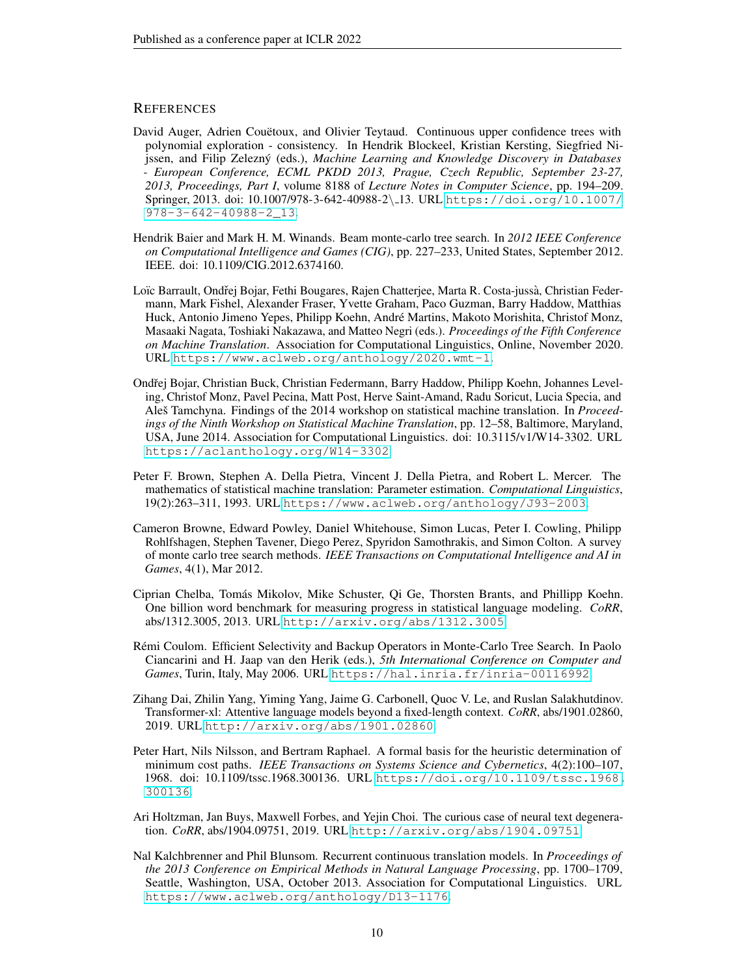# **REFERENCES**

- <span id="page-9-6"></span>David Auger, Adrien Couëtoux, and Olivier Teytaud. Continuous upper confidence trees with polynomial exploration - consistency. In Hendrik Blockeel, Kristian Kersting, Siegfried Nijssen, and Filip Zelezný (eds.), *Machine Learning and Knowledge Discovery in Databases - European Conference, ECML PKDD 2013, Prague, Czech Republic, September 23-27, 2013, Proceedings, Part I*, volume 8188 of *Lecture Notes in Computer Science*, pp. 194–209. Springer, 2013. doi: 10.1007/978-3-642-40988-2\ 13. URL [https://doi.org/10.1007/](https://doi.org/10.1007/978-3-642-40988-2_13) [978-3-642-40988-2\\_13](https://doi.org/10.1007/978-3-642-40988-2_13).
- <span id="page-9-7"></span>Hendrik Baier and Mark H. M. Winands. Beam monte-carlo tree search. In *2012 IEEE Conference on Computational Intelligence and Games (CIG)*, pp. 227–233, United States, September 2012. IEEE. doi: 10.1109/CIG.2012.6374160.
- <span id="page-9-8"></span>Loïc Barrault, Ondřej Bojar, Fethi Bougares, Rajen Chatterjee, Marta R. Costa-jussà, Christian Federmann, Mark Fishel, Alexander Fraser, Yvette Graham, Paco Guzman, Barry Haddow, Matthias Huck, Antonio Jimeno Yepes, Philipp Koehn, Andre Martins, Makoto Morishita, Christof Monz, ´ Masaaki Nagata, Toshiaki Nakazawa, and Matteo Negri (eds.). *Proceedings of the Fifth Conference on Machine Translation*. Association for Computational Linguistics, Online, November 2020. URL <https://www.aclweb.org/anthology/2020.wmt-1>.
- <span id="page-9-9"></span>Ondřej Bojar, Christian Buck, Christian Federmann, Barry Haddow, Philipp Koehn, Johannes Leveling, Christof Monz, Pavel Pecina, Matt Post, Herve Saint-Amand, Radu Soricut, Lucia Specia, and Ales Tamchyna. Findings of the 2014 workshop on statistical machine translation. In *Proceedings of the Ninth Workshop on Statistical Machine Translation*, pp. 12–58, Baltimore, Maryland, USA, June 2014. Association for Computational Linguistics. doi: 10.3115/v1/W14-3302. URL <https://aclanthology.org/W14-3302>.
- <span id="page-9-1"></span>Peter F. Brown, Stephen A. Della Pietra, Vincent J. Della Pietra, and Robert L. Mercer. The mathematics of statistical machine translation: Parameter estimation. *Computational Linguistics*, 19(2):263–311, 1993. URL <https://www.aclweb.org/anthology/J93-2003>.
- <span id="page-9-3"></span>Cameron Browne, Edward Powley, Daniel Whitehouse, Simon Lucas, Peter I. Cowling, Philipp Rohlfshagen, Stephen Tavener, Diego Perez, Spyridon Samothrakis, and Simon Colton. A survey of monte carlo tree search methods. *IEEE Transactions on Computational Intelligence and AI in Games*, 4(1), Mar 2012.
- <span id="page-9-11"></span>Ciprian Chelba, Tomas Mikolov, Mike Schuster, Qi Ge, Thorsten Brants, and Phillipp Koehn. ´ One billion word benchmark for measuring progress in statistical language modeling. *CoRR*, abs/1312.3005, 2013. URL <http://arxiv.org/abs/1312.3005>.
- <span id="page-9-2"></span>Remi Coulom. Efficient Selectivity and Backup Operators in Monte-Carlo Tree Search. In Paolo ´ Ciancarini and H. Jaap van den Herik (eds.), *5th International Conference on Computer and Games*, Turin, Italy, May 2006. URL <https://hal.inria.fr/inria-00116992>.
- <span id="page-9-10"></span>Zihang Dai, Zhilin Yang, Yiming Yang, Jaime G. Carbonell, Quoc V. Le, and Ruslan Salakhutdinov. Transformer-xl: Attentive language models beyond a fixed-length context. *CoRR*, abs/1901.02860, 2019. URL <http://arxiv.org/abs/1901.02860>.
- <span id="page-9-4"></span>Peter Hart, Nils Nilsson, and Bertram Raphael. A formal basis for the heuristic determination of minimum cost paths. *IEEE Transactions on Systems Science and Cybernetics*, 4(2):100–107, 1968. doi: 10.1109/tssc.1968.300136. URL [https://doi.org/10.1109/tssc.1968.](https://doi.org/10.1109/tssc.1968.300136) [300136](https://doi.org/10.1109/tssc.1968.300136).
- <span id="page-9-5"></span>Ari Holtzman, Jan Buys, Maxwell Forbes, and Yejin Choi. The curious case of neural text degeneration. *CoRR*, abs/1904.09751, 2019. URL <http://arxiv.org/abs/1904.09751>.
- <span id="page-9-0"></span>Nal Kalchbrenner and Phil Blunsom. Recurrent continuous translation models. In *Proceedings of the 2013 Conference on Empirical Methods in Natural Language Processing*, pp. 1700–1709, Seattle, Washington, USA, October 2013. Association for Computational Linguistics. URL <https://www.aclweb.org/anthology/D13-1176>.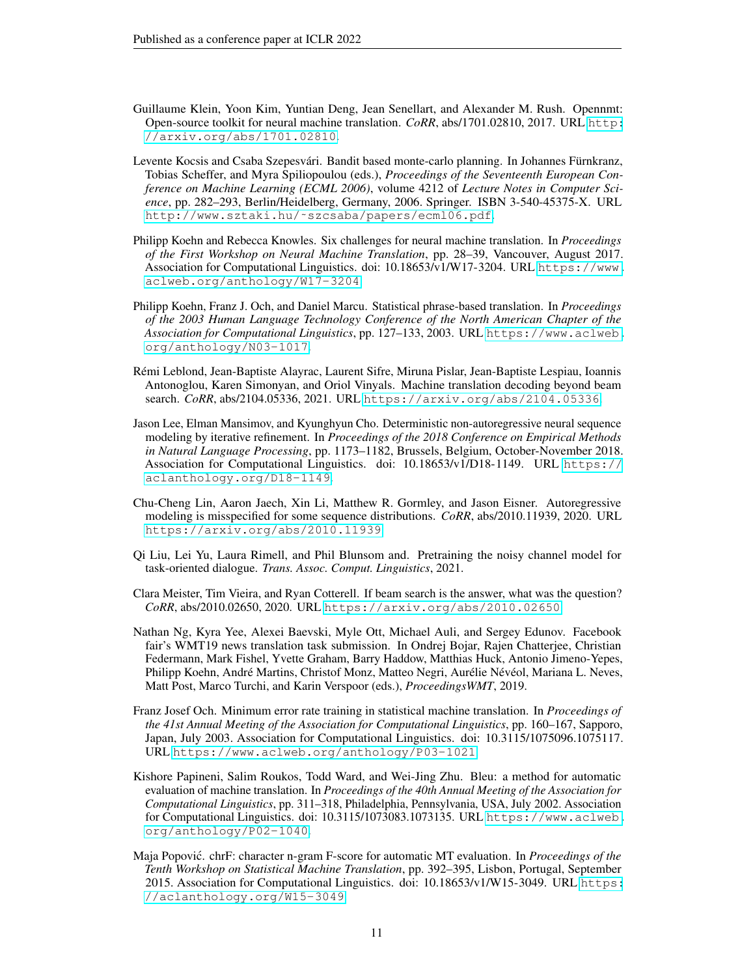- <span id="page-10-7"></span>Guillaume Klein, Yoon Kim, Yuntian Deng, Jean Senellart, and Alexander M. Rush. Opennmt: Open-source toolkit for neural machine translation. *CoRR*, abs/1701.02810, 2017. URL [http:](http://arxiv.org/abs/1701.02810) [//arxiv.org/abs/1701.02810](http://arxiv.org/abs/1701.02810).
- <span id="page-10-8"></span>Levente Kocsis and Csaba Szepesvári. Bandit based monte-carlo planning. In Johannes Fürnkranz, Tobias Scheffer, and Myra Spiliopoulou (eds.), *Proceedings of the Seventeenth European Conference on Machine Learning (ECML 2006)*, volume 4212 of *Lecture Notes in Computer Science*, pp. 282–293, Berlin/Heidelberg, Germany, 2006. Springer. ISBN 3-540-45375-X. URL [http://www.sztaki.hu/˜szcsaba/papers/ecml06.pdf](http://www.sztaki.hu/~szcsaba/papers/ecml06.pdf).
- <span id="page-10-2"></span>Philipp Koehn and Rebecca Knowles. Six challenges for neural machine translation. In *Proceedings of the First Workshop on Neural Machine Translation*, pp. 28–39, Vancouver, August 2017. Association for Computational Linguistics. doi: 10.18653/v1/W17-3204. URL [https://www.](https://www.aclweb.org/anthology/W17-3204) [aclweb.org/anthology/W17-3204](https://www.aclweb.org/anthology/W17-3204).
- <span id="page-10-0"></span>Philipp Koehn, Franz J. Och, and Daniel Marcu. Statistical phrase-based translation. In *Proceedings of the 2003 Human Language Technology Conference of the North American Chapter of the Association for Computational Linguistics*, pp. 127–133, 2003. URL [https://www.aclweb.](https://www.aclweb.org/anthology/N03-1017) [org/anthology/N03-1017](https://www.aclweb.org/anthology/N03-1017).
- <span id="page-10-9"></span>Remi Leblond, Jean-Baptiste Alayrac, Laurent Sifre, Miruna Pislar, Jean-Baptiste Lespiau, Ioannis ´ Antonoglou, Karen Simonyan, and Oriol Vinyals. Machine translation decoding beyond beam search. *CoRR*, abs/2104.05336, 2021. URL <https://arxiv.org/abs/2104.05336>.
- <span id="page-10-1"></span>Jason Lee, Elman Mansimov, and Kyunghyun Cho. Deterministic non-autoregressive neural sequence modeling by iterative refinement. In *Proceedings of the 2018 Conference on Empirical Methods in Natural Language Processing*, pp. 1173–1182, Brussels, Belgium, October-November 2018. Association for Computational Linguistics. doi: 10.18653/v1/D18-1149. URL [https://](https://aclanthology.org/D18-1149) [aclanthology.org/D18-1149](https://aclanthology.org/D18-1149).
- <span id="page-10-3"></span>Chu-Cheng Lin, Aaron Jaech, Xin Li, Matthew R. Gormley, and Jason Eisner. Autoregressive modeling is misspecified for some sequence distributions. *CoRR*, abs/2010.11939, 2020. URL <https://arxiv.org/abs/2010.11939>.
- <span id="page-10-6"></span>Qi Liu, Lei Yu, Laura Rimell, and Phil Blunsom and. Pretraining the noisy channel model for task-oriented dialogue. *Trans. Assoc. Comput. Linguistics*, 2021.
- <span id="page-10-4"></span>Clara Meister, Tim Vieira, and Ryan Cotterell. If beam search is the answer, what was the question? *CoRR*, abs/2010.02650, 2020. URL <https://arxiv.org/abs/2010.02650>.
- <span id="page-10-5"></span>Nathan Ng, Kyra Yee, Alexei Baevski, Myle Ott, Michael Auli, and Sergey Edunov. Facebook fair's WMT19 news translation task submission. In Ondrej Bojar, Rajen Chatterjee, Christian Federmann, Mark Fishel, Yvette Graham, Barry Haddow, Matthias Huck, Antonio Jimeno-Yepes, Philipp Koehn, André Martins, Christof Monz, Matteo Negri, Aurélie Névéol, Mariana L. Neves, Matt Post, Marco Turchi, and Karin Verspoor (eds.), *ProceedingsWMT*, 2019.
- <span id="page-10-11"></span>Franz Josef Och. Minimum error rate training in statistical machine translation. In *Proceedings of the 41st Annual Meeting of the Association for Computational Linguistics*, pp. 160–167, Sapporo, Japan, July 2003. Association for Computational Linguistics. doi: 10.3115/1075096.1075117. URL <https://www.aclweb.org/anthology/P03-1021>.
- <span id="page-10-10"></span>Kishore Papineni, Salim Roukos, Todd Ward, and Wei-Jing Zhu. Bleu: a method for automatic evaluation of machine translation. In *Proceedings of the 40th Annual Meeting of the Association for Computational Linguistics*, pp. 311–318, Philadelphia, Pennsylvania, USA, July 2002. Association for Computational Linguistics. doi: 10.3115/1073083.1073135. URL [https://www.aclweb.](https://www.aclweb.org/anthology/P02-1040) [org/anthology/P02-1040](https://www.aclweb.org/anthology/P02-1040).
- <span id="page-10-12"></span>Maja Popović. chrF: character n-gram F-score for automatic MT evaluation. In *Proceedings of the Tenth Workshop on Statistical Machine Translation*, pp. 392–395, Lisbon, Portugal, September 2015. Association for Computational Linguistics. doi: 10.18653/v1/W15-3049. URL [https:](https://aclanthology.org/W15-3049) [//aclanthology.org/W15-3049](https://aclanthology.org/W15-3049).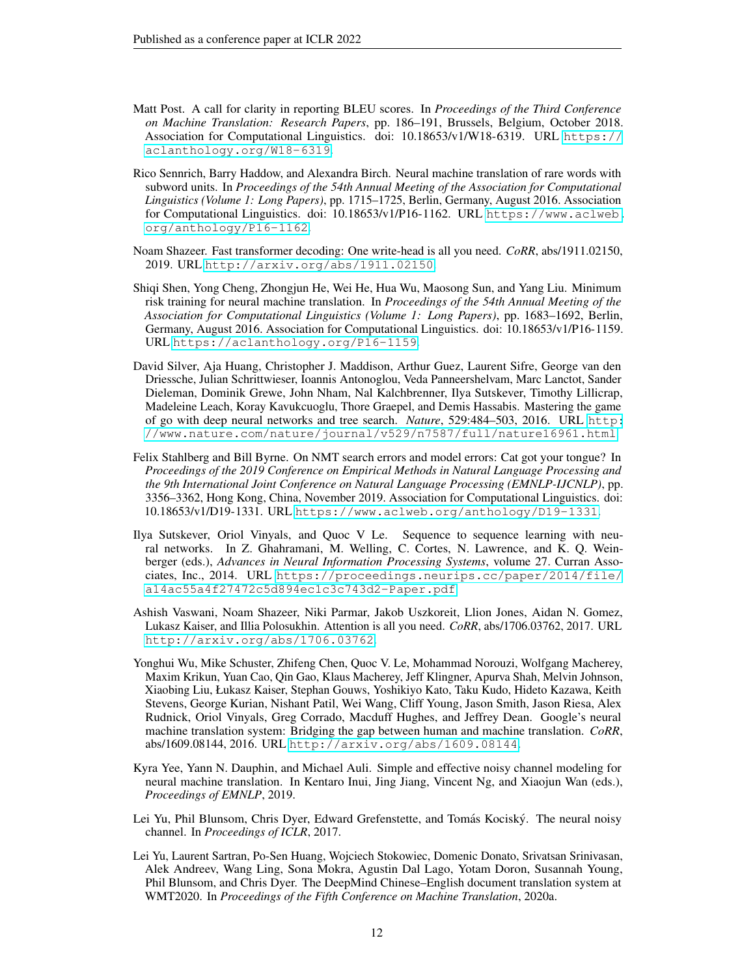- <span id="page-11-11"></span>Matt Post. A call for clarity in reporting BLEU scores. In *Proceedings of the Third Conference on Machine Translation: Research Papers*, pp. 186–191, Brussels, Belgium, October 2018. Association for Computational Linguistics. doi: 10.18653/v1/W18-6319. URL [https://](https://aclanthology.org/W18-6319) [aclanthology.org/W18-6319](https://aclanthology.org/W18-6319).
- <span id="page-11-10"></span>Rico Sennrich, Barry Haddow, and Alexandra Birch. Neural machine translation of rare words with subword units. In *Proceedings of the 54th Annual Meeting of the Association for Computational Linguistics (Volume 1: Long Papers)*, pp. 1715–1725, Berlin, Germany, August 2016. Association for Computational Linguistics. doi: 10.18653/v1/P16-1162. URL [https://www.aclweb.](https://www.aclweb.org/anthology/P16-1162) [org/anthology/P16-1162](https://www.aclweb.org/anthology/P16-1162).
- <span id="page-11-9"></span>Noam Shazeer. Fast transformer decoding: One write-head is all you need. *CoRR*, abs/1911.02150, 2019. URL <http://arxiv.org/abs/1911.02150>.
- <span id="page-11-7"></span>Shiqi Shen, Yong Cheng, Zhongjun He, Wei He, Hua Wu, Maosong Sun, and Yang Liu. Minimum risk training for neural machine translation. In *Proceedings of the 54th Annual Meeting of the Association for Computational Linguistics (Volume 1: Long Papers)*, pp. 1683–1692, Berlin, Germany, August 2016. Association for Computational Linguistics. doi: 10.18653/v1/P16-1159. URL <https://aclanthology.org/P16-1159>.
- <span id="page-11-8"></span>David Silver, Aja Huang, Christopher J. Maddison, Arthur Guez, Laurent Sifre, George van den Driessche, Julian Schrittwieser, Ioannis Antonoglou, Veda Panneershelvam, Marc Lanctot, Sander Dieleman, Dominik Grewe, John Nham, Nal Kalchbrenner, Ilya Sutskever, Timothy Lillicrap, Madeleine Leach, Koray Kavukcuoglu, Thore Graepel, and Demis Hassabis. Mastering the game of go with deep neural networks and tree search. *Nature*, 529:484–503, 2016. URL [http:](http://www.nature.com/nature/journal/v529/n7587/full/nature16961.html) [//www.nature.com/nature/journal/v529/n7587/full/nature16961.html](http://www.nature.com/nature/journal/v529/n7587/full/nature16961.html).
- <span id="page-11-3"></span>Felix Stahlberg and Bill Byrne. On NMT search errors and model errors: Cat got your tongue? In *Proceedings of the 2019 Conference on Empirical Methods in Natural Language Processing and the 9th International Joint Conference on Natural Language Processing (EMNLP-IJCNLP)*, pp. 3356–3362, Hong Kong, China, November 2019. Association for Computational Linguistics. doi: 10.18653/v1/D19-1331. URL <https://www.aclweb.org/anthology/D19-1331>.
- <span id="page-11-0"></span>Ilya Sutskever, Oriol Vinyals, and Quoc V Le. Sequence to sequence learning with neural networks. In Z. Ghahramani, M. Welling, C. Cortes, N. Lawrence, and K. Q. Weinberger (eds.), *Advances in Neural Information Processing Systems*, volume 27. Curran Associates, Inc., 2014. URL [https://proceedings.neurips.cc/paper/2014/file/](https://proceedings.neurips.cc/paper/2014/file/a14ac55a4f27472c5d894ec1c3c743d2-Paper.pdf) [a14ac55a4f27472c5d894ec1c3c743d2-Paper.pdf](https://proceedings.neurips.cc/paper/2014/file/a14ac55a4f27472c5d894ec1c3c743d2-Paper.pdf).
- <span id="page-11-1"></span>Ashish Vaswani, Noam Shazeer, Niki Parmar, Jakob Uszkoreit, Llion Jones, Aidan N. Gomez, Lukasz Kaiser, and Illia Polosukhin. Attention is all you need. *CoRR*, abs/1706.03762, 2017. URL <http://arxiv.org/abs/1706.03762>.
- <span id="page-11-2"></span>Yonghui Wu, Mike Schuster, Zhifeng Chen, Quoc V. Le, Mohammad Norouzi, Wolfgang Macherey, Maxim Krikun, Yuan Cao, Qin Gao, Klaus Macherey, Jeff Klingner, Apurva Shah, Melvin Johnson, Xiaobing Liu, Łukasz Kaiser, Stephan Gouws, Yoshikiyo Kato, Taku Kudo, Hideto Kazawa, Keith Stevens, George Kurian, Nishant Patil, Wei Wang, Cliff Young, Jason Smith, Jason Riesa, Alex Rudnick, Oriol Vinyals, Greg Corrado, Macduff Hughes, and Jeffrey Dean. Google's neural machine translation system: Bridging the gap between human and machine translation. *CoRR*, abs/1609.08144, 2016. URL <http://arxiv.org/abs/1609.08144>.
- <span id="page-11-5"></span>Kyra Yee, Yann N. Dauphin, and Michael Auli. Simple and effective noisy channel modeling for neural machine translation. In Kentaro Inui, Jing Jiang, Vincent Ng, and Xiaojun Wan (eds.), *Proceedings of EMNLP*, 2019.
- <span id="page-11-4"></span>Lei Yu, Phil Blunsom, Chris Dyer, Edward Grefenstette, and Tomás Kociský. The neural noisy channel. In *Proceedings of ICLR*, 2017.
- <span id="page-11-6"></span>Lei Yu, Laurent Sartran, Po-Sen Huang, Wojciech Stokowiec, Domenic Donato, Srivatsan Srinivasan, Alek Andreev, Wang Ling, Sona Mokra, Agustin Dal Lago, Yotam Doron, Susannah Young, Phil Blunsom, and Chris Dyer. The DeepMind Chinese–English document translation system at WMT2020. In *Proceedings of the Fifth Conference on Machine Translation*, 2020a.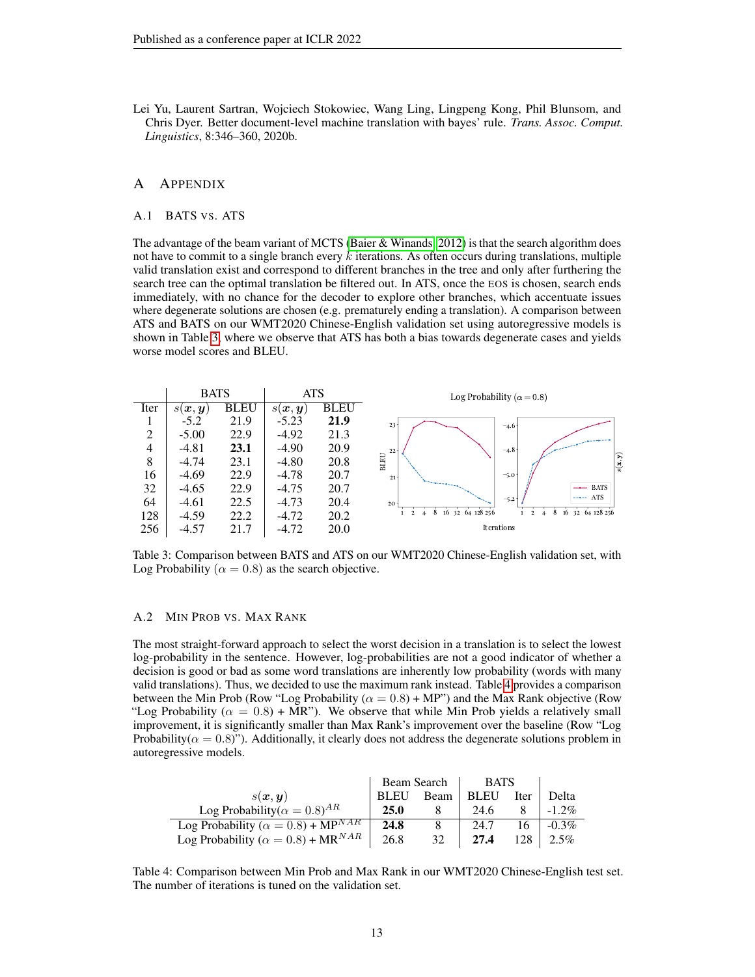<span id="page-12-0"></span>Lei Yu, Laurent Sartran, Wojciech Stokowiec, Wang Ling, Lingpeng Kong, Phil Blunsom, and Chris Dyer. Better document-level machine translation with bayes' rule. *Trans. Assoc. Comput. Linguistics*, 8:346–360, 2020b.

# A APPENDIX

#### A.1 BATS VS. ATS

The advantage of the beam variant of MCTS [\(Baier & Winands, 2012\)](#page-9-7) is that the search algorithm does not have to commit to a single branch every  $k$  iterations. As often occurs during translations, multiple valid translation exist and correspond to different branches in the tree and only after furthering the search tree can the optimal translation be filtered out. In ATS, once the EOS is chosen, search ends immediately, with no chance for the decoder to explore other branches, which accentuate issues where degenerate solutions are chosen (e.g. prematurely ending a translation). A comparison between ATS and BATS on our WMT2020 Chinese-English validation set using autoregressive models is shown in Table [3,](#page-12-1) where we observe that ATS has both a bias towards degenerate cases and yields worse model scores and BLEU.



<span id="page-12-1"></span>Table 3: Comparison between BATS and ATS on our WMT2020 Chinese-English validation set, with Log Probability ( $\alpha = 0.8$ ) as the search objective.

## A.2 MIN PROB VS. MAX RANK

The most straight-forward approach to select the worst decision in a translation is to select the lowest log-probability in the sentence. However, log-probabilities are not a good indicator of whether a decision is good or bad as some word translations are inherently low probability (words with many valid translations). Thus, we decided to use the maximum rank instead. Table [4](#page-12-2) provides a comparison between the Min Prob (Row "Log Probability ( $\alpha = 0.8$ ) + MP") and the Max Rank objective (Row "Log Probability ( $\alpha = 0.8$ ) + MR"). We observe that while Min Prob yields a relatively small improvement, it is significantly smaller than Max Rank's improvement over the baseline (Row "Log Probability( $\alpha = 0.8$ )"). Additionally, it clearly does not address the degenerate solutions problem in autoregressive models.

|                                                        | Beam Search |      | <b>BATS</b> |      |          |
|--------------------------------------------------------|-------------|------|-------------|------|----------|
| s(x, y)                                                | <b>BLEU</b> | Beam | <b>BLEU</b> | Iter | Delta    |
| Log Probability( $\alpha = 0.8$ ) <sup>AR</sup>        | 25.0        |      | 24.6        |      | $-1.2\%$ |
| Log Probability ( $\alpha = 0.8$ ) + MP <sup>NAR</sup> | 24.8        |      | 24.7        | 16   | $-0.3\%$ |
| Log Probability ( $\alpha = 0.8$ ) + MR <sup>NAR</sup> | 26.8        | 32   | 27.4        | 128  | $2.5\%$  |

<span id="page-12-2"></span>Table 4: Comparison between Min Prob and Max Rank in our WMT2020 Chinese-English test set. The number of iterations is tuned on the validation set.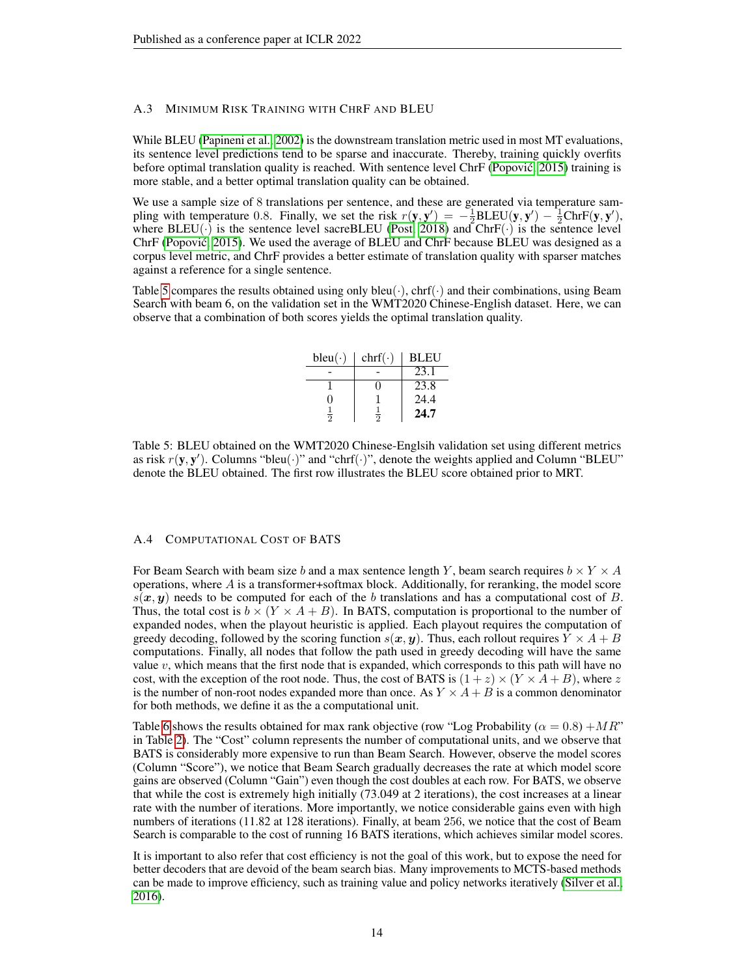## <span id="page-13-0"></span>A.3 MINIMUM RISK TRAINING WITH CHRF AND BLEU

While BLEU [\(Papineni et al., 2002\)](#page-10-10) is the downstream translation metric used in most MT evaluations, its sentence level predictions tend to be sparse and inaccurate. Thereby, training quickly overfits before optimal translation quality is reached. With sentence level ChrF (Popović, 2015) training is more stable, and a better optimal translation quality can be obtained.

We use a sample size of 8 translations per sentence, and these are generated via temperature sampling with temperature 0.8. Finally, we set the risk  $r(y, y') = -\frac{1}{2}BLEU(y, y') - \frac{1}{2}ChrF(y, y'),$ where  $BLEU(\cdot)$  is the sentence level sacreBLEU [\(Post, 2018\)](#page-11-11) and ChrF( $\cdot$ ) is the sentence level ChrF [\(Popovic, 2015\)](#page-10-12). We used the average of BLEU and ChrF because BLEU was designed as a ´ corpus level metric, and ChrF provides a better estimate of translation quality with sparser matches against a reference for a single sentence.

Table [5](#page-13-1) compares the results obtained using only  $bleu(\cdot)$ ,  $chr(f(\cdot)$  and their combinations, using Beam Search with beam 6, on the validation set in the WMT2020 Chinese-English dataset. Here, we can observe that a combination of both scores yields the optimal translation quality.

| $bleu(\cdot)$  | $chr(f(\cdot))$ | <b>BLEU</b> |
|----------------|-----------------|-------------|
|                |                 | 23.1        |
|                |                 | 23.8        |
| 0              |                 | 24.4        |
| $\overline{2}$ | $\overline{2}$  | 24.7        |

<span id="page-13-1"></span>Table 5: BLEU obtained on the WMT2020 Chinese-Englsih validation set using different metrics as risk  $r(\mathbf{y}, \mathbf{y}')$ . Columns "bleu $(\cdot)$ " and "chrf $(\cdot)$ ", denote the weights applied and Column "BLEU" denote the BLEU obtained. The first row illustrates the BLEU score obtained prior to MRT.

#### A.4 COMPUTATIONAL COST OF BATS

For Beam Search with beam size b and a max sentence length Y, beam search requires  $b \times Y \times A$ operations, where A is a transformer+softmax block. Additionally, for reranking, the model score  $s(x, y)$  needs to be computed for each of the b translations and has a computational cost of B. Thus, the total cost is  $b \times (Y \times A + B)$ . In BATS, computation is proportional to the number of expanded nodes, when the playout heuristic is applied. Each playout requires the computation of greedy decoding, followed by the scoring function  $s(x, y)$ . Thus, each rollout requires  $Y \times A + B$ computations. Finally, all nodes that follow the path used in greedy decoding will have the same value  $v$ , which means that the first node that is expanded, which corresponds to this path will have no cost, with the exception of the root node. Thus, the cost of BATS is  $(1 + z) \times (Y \times A + B)$ , where z is the number of non-root nodes expanded more than once. As  $Y \times A + B$  is a common denominator for both methods, we define it as the a computational unit.

Table [6](#page-14-0) shows the results obtained for max rank objective (row "Log Probability ( $\alpha = 0.8$ ) + MR" in Table [2\)](#page-8-0). The "Cost" column represents the number of computational units, and we observe that BATS is considerably more expensive to run than Beam Search. However, observe the model scores (Column "Score"), we notice that Beam Search gradually decreases the rate at which model score gains are observed (Column "Gain") even though the cost doubles at each row. For BATS, we observe that while the cost is extremely high initially (73.049 at 2 iterations), the cost increases at a linear rate with the number of iterations. More importantly, we notice considerable gains even with high numbers of iterations (11.82 at 128 iterations). Finally, at beam 256, we notice that the cost of Beam Search is comparable to the cost of running 16 BATS iterations, which achieves similar model scores.

It is important to also refer that cost efficiency is not the goal of this work, but to expose the need for better decoders that are devoid of the beam search bias. Many improvements to MCTS-based methods can be made to improve efficiency, such as training value and policy networks iteratively [\(Silver et al.,](#page-11-8) [2016\)](#page-11-8).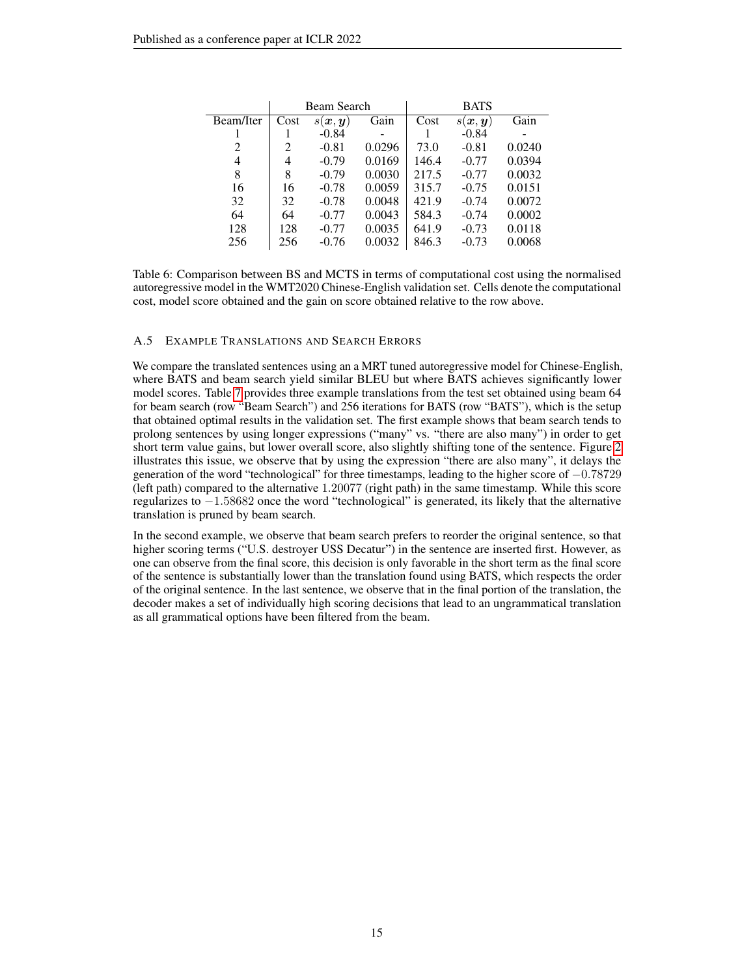|           | Beam Search |                                    |        | <b>BATS</b> |                     |        |
|-----------|-------------|------------------------------------|--------|-------------|---------------------|--------|
| Beam/Iter | Cost        | $s(\boldsymbol{x},\boldsymbol{y})$ | Gain   | Cost        | $s(\bm{x}, \bm{y})$ | Gain   |
|           |             | $-0.84$                            |        |             | $-0.84$             |        |
| 2         | 2           | $-0.81$                            | 0.0296 | 73.0        | $-0.81$             | 0.0240 |
| 4         | 4           | $-0.79$                            | 0.0169 | 146.4       | $-0.77$             | 0.0394 |
| 8         | 8           | $-0.79$                            | 0.0030 | 217.5       | $-0.77$             | 0.0032 |
| 16        | 16          | $-0.78$                            | 0.0059 | 315.7       | $-0.75$             | 0.0151 |
| 32        | 32          | $-0.78$                            | 0.0048 | 421.9       | $-0.74$             | 0.0072 |
| 64        | 64          | $-0.77$                            | 0.0043 | 584.3       | $-0.74$             | 0.0002 |
| 128       | 128         | $-0.77$                            | 0.0035 | 641.9       | $-0.73$             | 0.0118 |
| 256       | 256         | $-0.76$                            | 0.0032 | 846.3       | $-0.73$             | 0.0068 |

<span id="page-14-0"></span>Table 6: Comparison between BS and MCTS in terms of computational cost using the normalised autoregressive model in the WMT2020 Chinese-English validation set. Cells denote the computational cost, model score obtained and the gain on score obtained relative to the row above.

## A.5 EXAMPLE TRANSLATIONS AND SEARCH ERRORS

We compare the translated sentences using an a MRT tuned autoregressive model for Chinese-English, where BATS and beam search yield similar BLEU but where BATS achieves significantly lower model scores. Table [7](#page-16-0) provides three example translations from the test set obtained using beam 64 for beam search (row "Beam Search") and 256 iterations for BATS (row "BATS"), which is the setup that obtained optimal results in the validation set. The first example shows that beam search tends to prolong sentences by using longer expressions ("many" vs. "there are also many") in order to get short term value gains, but lower overall score, also slightly shifting tone of the sentence. Figure [2](#page-15-0) illustrates this issue, we observe that by using the expression "there are also many", it delays the generation of the word "technological" for three timestamps, leading to the higher score of −0.78729 (left path) compared to the alternative 1.20077 (right path) in the same timestamp. While this score regularizes to −1.58682 once the word "technological" is generated, its likely that the alternative translation is pruned by beam search.

In the second example, we observe that beam search prefers to reorder the original sentence, so that higher scoring terms ("U.S. destroyer USS Decatur") in the sentence are inserted first. However, as one can observe from the final score, this decision is only favorable in the short term as the final score of the sentence is substantially lower than the translation found using BATS, which respects the order of the original sentence. In the last sentence, we observe that in the final portion of the translation, the decoder makes a set of individually high scoring decisions that lead to an ungrammatical translation as all grammatical options have been filtered from the beam.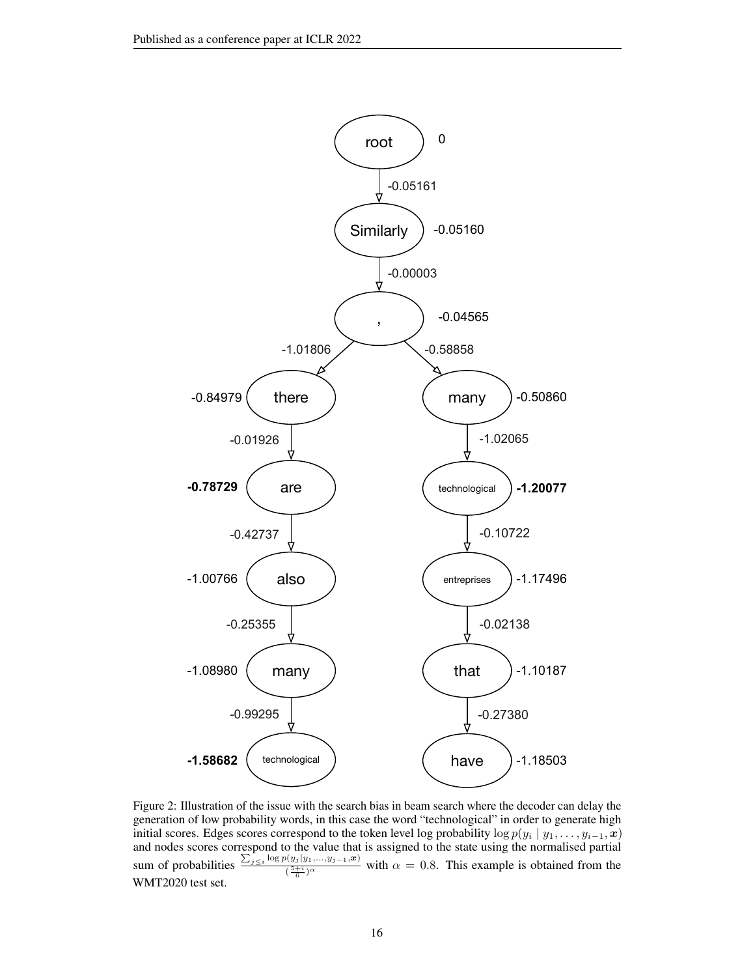

<span id="page-15-0"></span>Figure 2: Illustration of the issue with the search bias in beam search where the decoder can delay the generation of low probability words, in this case the word "technological" in order to generate high initial scores. Edges scores correspond to the token level log probability  $\log p(y_i | y_1, \ldots, y_{i-1}, x)$ and nodes scores correspond to the value that is assigned to the state using the normalised partial sum of probabilities  $\frac{\sum_{j\leq i} \log p(y_j | y_1, ..., y_{j-1}, x)}{\sqrt{5+i} \log p(x_j)}$  $\frac{\sqrt{(y_j(y_1,\ldots,y_{j-1},\omega))}}{\sqrt{\frac{5+i}{6}}\alpha}$  with  $\alpha = 0.8$ . This example is obtained from the WMT2020 test set.